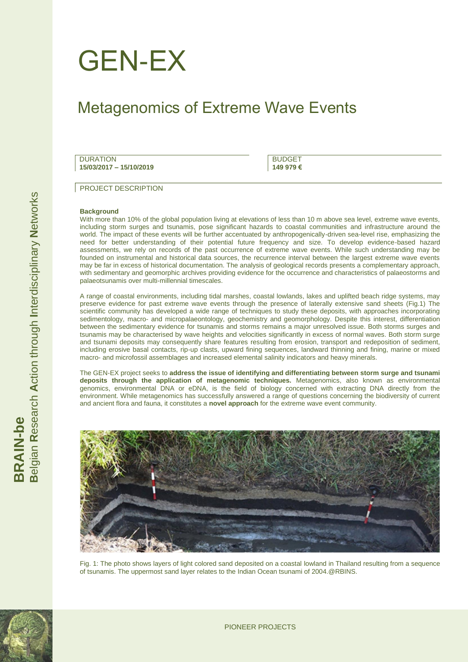

# Metagenomics of Extreme Wave Events

**DURATION 15/03/2017 – 15/10/2019**

**BUDGET 149 979 €**

PROJECT DESCRIPTION

#### **Background**

With more than 10% of the global population living at elevations of less than 10 m above sea level, extreme wave events, including storm surges and tsunamis, pose significant hazards to coastal communities and infrastructure around the world. The impact of these events will be further accentuated by anthropogenically-driven sea-level rise, emphasizing the need for better understanding of their potential future frequency and size. To develop evidence-based hazard assessments, we rely on records of the past occurrence of extreme wave events. While such understanding may be founded on instrumental and historical data sources, the recurrence interval between the largest extreme wave events may be far in excess of historical documentation. The analysis of geological records presents a complementary approach, with sedimentary and geomorphic archives providing evidence for the occurrence and characteristics of palaeostorms and palaeotsunamis over multi-millennial timescales.

A range of coastal environments, including tidal marshes, coastal lowlands, lakes and uplifted beach ridge systems, may preserve evidence for past extreme wave events through the presence of laterally extensive sand sheets (Fig.1) The scientific community has developed a wide range of techniques to study these deposits, with approaches incorporating sedimentology, macro- and micropalaeontology, geochemistry and geomorphology. Despite this interest, differentiation between the sedimentary evidence for tsunamis and storms remains a major unresolved issue. Both storms surges and tsunamis may be characterised by wave heights and velocities significantly in excess of normal waves. Both storm surge and tsunami deposits may consequently share features resulting from erosion, transport and redeposition of sediment, including erosive basal contacts, rip-up clasts, upward fining sequences, landward thinning and fining, marine or mixed macro- and microfossil assemblages and increased elemental salinity indicators and heavy minerals.

The GEN-EX project seeks to **address the issue of identifying and differentiating between storm surge and tsunami deposits through the application of metagenomic techniques.** Metagenomics, also known as environmental genomics, environmental DNA or eDNA, is the field of biology concerned with extracting DNA directly from the environment. While metagenomics has successfully answered a range of questions concerning the biodiversity of current and ancient flora and fauna, it constitutes a **novel approach** for the extreme wave event community.



Fig. 1: The photo shows layers of light colored sand deposited on a coastal lowland in Thailand resulting from a sequence of tsunamis. The uppermost sand layer relates to the Indian Ocean tsunami of 2004.@RBINS.